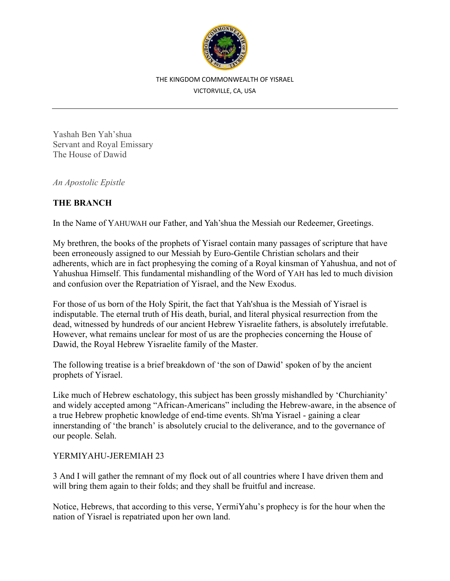

#### THE KINGDOM COMMONWEALTH OF YISRAEL

VICTORVILLE, CA, USA

Yashah Ben Yah'shua Servant and Royal Emissary The House of Dawid

*An Apostolic Epistle* 

## **THE BRANCH**

In the Name of YAHUWAH our Father, and Yah'shua the Messiah our Redeemer, Greetings.

My brethren, the books of the prophets of Yisrael contain many passages of scripture that have been erroneously assigned to our Messiah by Euro-Gentile Christian scholars and their adherents, which are in fact prophesying the coming of a Royal kinsman of Yahushua, and not of Yahushua Himself. This fundamental mishandling of the Word of YAH has led to much division and confusion over the Repatriation of Yisrael, and the New Exodus.

For those of us born of the Holy Spirit, the fact that Yah'shua is the Messiah of Yisrael is indisputable. The eternal truth of His death, burial, and literal physical resurrection from the dead, witnessed by hundreds of our ancient Hebrew Yisraelite fathers, is absolutely irrefutable. However, what remains unclear for most of us are the prophecies concerning the House of Dawid, the Royal Hebrew Yisraelite family of the Master.

The following treatise is a brief breakdown of 'the son of Dawid' spoken of by the ancient prophets of Yisrael.

Like much of Hebrew eschatology, this subject has been grossly mishandled by 'Churchianity' and widely accepted among "African-Americans" including the Hebrew-aware, in the absence of a true Hebrew prophetic knowledge of end-time events. Sh'ma Yisrael - gaining a clear innerstanding of 'the branch' is absolutely crucial to the deliverance, and to the governance of our people. Selah.

# YERMIYAHU-JEREMIAH 23

3 And I will gather the remnant of my flock out of all countries where I have driven them and will bring them again to their folds; and they shall be fruitful and increase.

Notice, Hebrews, that according to this verse, YermiYahu's prophecy is for the hour when the nation of Yisrael is repatriated upon her own land.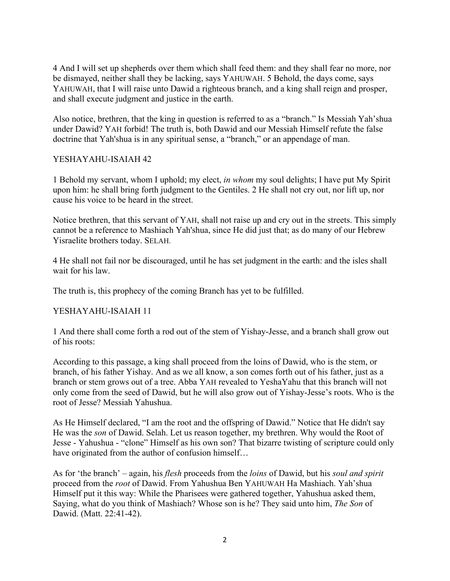4 And I will set up shepherds over them which shall feed them: and they shall fear no more, nor be dismayed, neither shall they be lacking, says YAHUWAH. 5 Behold, the days come, says YAHUWAH, that I will raise unto Dawid a righteous branch, and a king shall reign and prosper, and shall execute judgment and justice in the earth.

Also notice, brethren, that the king in question is referred to as a "branch." Is Messiah Yah'shua under Dawid? YAH forbid! The truth is, both Dawid and our Messiah Himself refute the false doctrine that Yah'shua is in any spiritual sense, a "branch," or an appendage of man.

## YESHAYAHU-ISAIAH 42

1 Behold my servant, whom I uphold; my elect, *in whom* my soul delights; I have put My Spirit upon him: he shall bring forth judgment to the Gentiles. 2 He shall not cry out, nor lift up, nor cause his voice to be heard in the street.

Notice brethren, that this servant of YAH, shall not raise up and cry out in the streets. This simply cannot be a reference to Mashiach Yah'shua, since He did just that; as do many of our Hebrew Yisraelite brothers today. SELAH.

4 He shall not fail nor be discouraged, until he has set judgment in the earth: and the isles shall wait for his law.

The truth is, this prophecy of the coming Branch has yet to be fulfilled.

# YESHAYAHU-ISAIAH 11

1 And there shall come forth a rod out of the stem of Yishay-Jesse, and a branch shall grow out of his roots:

According to this passage, a king shall proceed from the loins of Dawid, who is the stem, or branch, of his father Yishay. And as we all know, a son comes forth out of his father, just as a branch or stem grows out of a tree. Abba YAH revealed to YeshaYahu that this branch will not only come from the seed of Dawid, but he will also grow out of Yishay-Jesse's roots. Who is the root of Jesse? Messiah Yahushua.

As He Himself declared, "I am the root and the offspring of Dawid." Notice that He didn't say He was the *son* of Dawid. Selah. Let us reason together, my brethren. Why would the Root of Jesse - Yahushua - "clone" Himself as his own son? That bizarre twisting of scripture could only have originated from the author of confusion himself…

As for 'the branch' – again, his *flesh* proceeds from the *loins* of Dawid, but his *soul and spirit* proceed from the *root* of Dawid. From Yahushua Ben YAHUWAH Ha Mashiach. Yah'shua Himself put it this way: While the Pharisees were gathered together, Yahushua asked them, Saying, what do you think of Mashiach? Whose son is he? They said unto him, *The Son* of Dawid. (Matt. 22:41-42).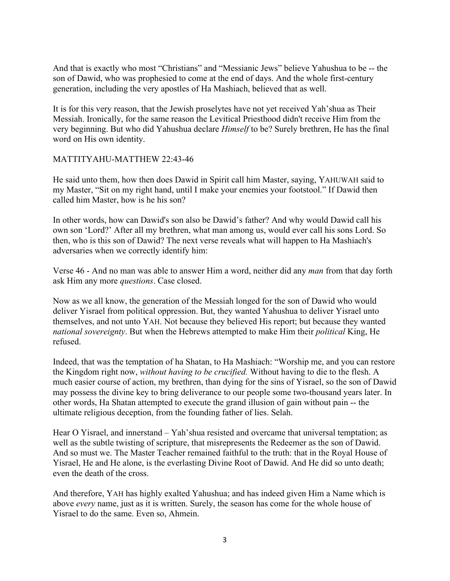And that is exactly who most "Christians" and "Messianic Jews" believe Yahushua to be -- the son of Dawid, who was prophesied to come at the end of days. And the whole first-century generation, including the very apostles of Ha Mashiach, believed that as well.

It is for this very reason, that the Jewish proselytes have not yet received Yah'shua as Their Messiah. Ironically, for the same reason the Levitical Priesthood didn't receive Him from the very beginning. But who did Yahushua declare *Himself* to be? Surely brethren, He has the final word on His own identity.

## MATTITYAHU-MATTHEW 22:43-46

He said unto them, how then does Dawid in Spirit call him Master, saying, YAHUWAH said to my Master, "Sit on my right hand, until I make your enemies your footstool." If Dawid then called him Master, how is he his son?

In other words, how can Dawid's son also be Dawid's father? And why would Dawid call his own son 'Lord?' After all my brethren, what man among us, would ever call his sons Lord. So then, who is this son of Dawid? The next verse reveals what will happen to Ha Mashiach's adversaries when we correctly identify him:

Verse 46 - And no man was able to answer Him a word, neither did any *man* from that day forth ask Him any more *questions*. Case closed.

Now as we all know, the generation of the Messiah longed for the son of Dawid who would deliver Yisrael from political oppression. But, they wanted Yahushua to deliver Yisrael unto themselves, and not unto YAH. Not because they believed His report; but because they wanted *national sovereignty*. But when the Hebrews attempted to make Him their *political* King, He refused.

Indeed, that was the temptation of ha Shatan, to Ha Mashiach: "Worship me, and you can restore the Kingdom right now, *without having to be crucified.* Without having to die to the flesh. A much easier course of action, my brethren, than dying for the sins of Yisrael, so the son of Dawid may possess the divine key to bring deliverance to our people some two-thousand years later. In other words, Ha Shatan attempted to execute the grand illusion of gain without pain -- the ultimate religious deception, from the founding father of lies. Selah.

Hear O Yisrael, and innerstand – Yah'shua resisted and overcame that universal temptation; as well as the subtle twisting of scripture, that misrepresents the Redeemer as the son of Dawid. And so must we. The Master Teacher remained faithful to the truth: that in the Royal House of Yisrael, He and He alone, is the everlasting Divine Root of Dawid. And He did so unto death; even the death of the cross.

And therefore, YAH has highly exalted Yahushua; and has indeed given Him a Name which is above *every* name, just as it is written. Surely, the season has come for the whole house of Yisrael to do the same. Even so, Ahmein.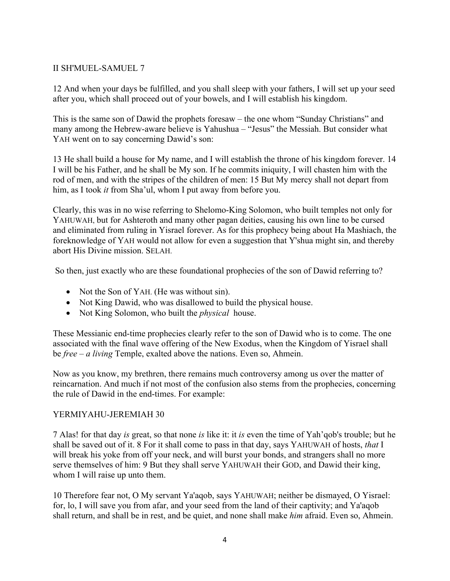## II SH'MUEL-SAMUEL 7

12 And when your days be fulfilled, and you shall sleep with your fathers, I will set up your seed after you, which shall proceed out of your bowels, and I will establish his kingdom.

This is the same son of Dawid the prophets foresaw – the one whom "Sunday Christians" and many among the Hebrew-aware believe is Yahushua – "Jesus" the Messiah. But consider what YAH went on to say concerning Dawid's son:

13 He shall build a house for My name, and I will establish the throne of his kingdom forever. 14 I will be his Father, and he shall be My son. If he commits iniquity, I will chasten him with the rod of men, and with the stripes of the children of men: 15 But My mercy shall not depart from him, as I took *it* from Sha'ul, whom I put away from before you.

Clearly, this was in no wise referring to Shelomo-King Solomon, who built temples not only for YAHUWAH, but for Ashteroth and many other pagan deities, causing his own line to be cursed and eliminated from ruling in Yisrael forever. As for this prophecy being about Ha Mashiach, the foreknowledge of YAH would not allow for even a suggestion that Y'shua might sin, and thereby abort His Divine mission. SELAH.

So then, just exactly who are these foundational prophecies of the son of Dawid referring to?

- Not the Son of YAH. (He was without sin).
- Not King Dawid, who was disallowed to build the physical house.
- Not King Solomon, who built the *physical* house.

These Messianic end-time prophecies clearly refer to the son of Dawid who is to come. The one associated with the final wave offering of the New Exodus, when the Kingdom of Yisrael shall be *free – a living* Temple, exalted above the nations. Even so, Ahmein.

Now as you know, my brethren, there remains much controversy among us over the matter of reincarnation. And much if not most of the confusion also stems from the prophecies, concerning the rule of Dawid in the end-times. For example:

#### YERMIYAHU-JEREMIAH 30

7 Alas! for that day *is* great, so that none *is* like it: it *is* even the time of Yah'qob's trouble; but he shall be saved out of it. 8 For it shall come to pass in that day, says YAHUWAH of hosts, *that* I will break his yoke from off your neck, and will burst your bonds, and strangers shall no more serve themselves of him: 9 But they shall serve YAHUWAH their GOD, and Dawid their king, whom I will raise up unto them.

10 Therefore fear not, O My servant Ya'aqob, says YAHUWAH; neither be dismayed, O Yisrael: for, lo, I will save you from afar, and your seed from the land of their captivity; and Ya'aqob shall return, and shall be in rest, and be quiet, and none shall make *him* afraid. Even so, Ahmein.